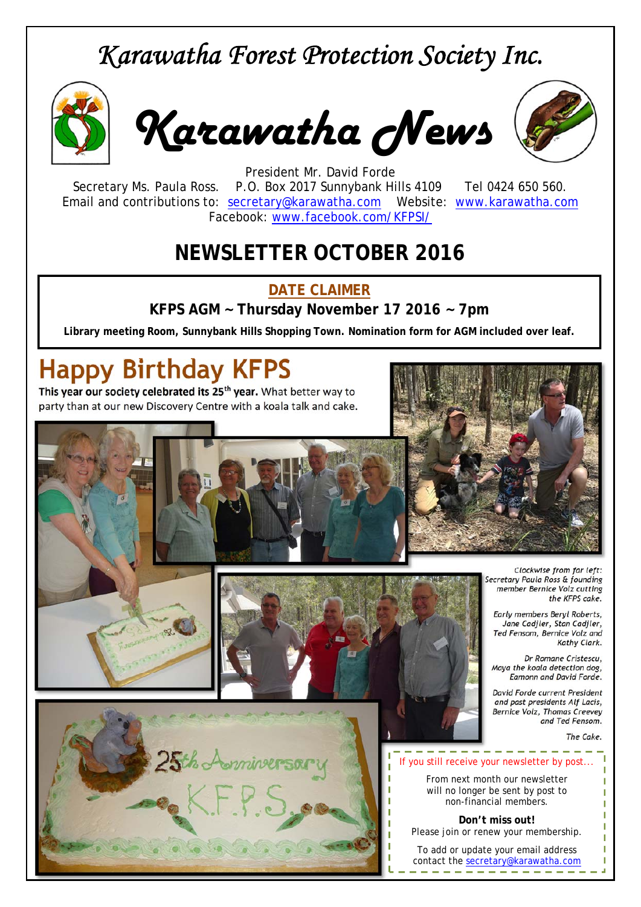## *Karawatha Forest Protection Society Inc.*



*Karawatha News*



President Mr. David Forde Secretary Ms. Paula Ross. P.O. Box 2017 Sunnybank Hills 4109 Tel 0424 650 560. Email and contributions to: secretary@karawatha.com Website: www.karawatha.com Facebook: www.facebook.com/KFPSI/

## **NEWSLETTER OCTOBER 2016**

#### **DATE CLAIMER**

**KFPS AGM ~ Thursday November 17 2016 ~ 7pm** 

**Library meeting Room, Sunnybank Hills Shopping Town. Nomination form for AGM included over leaf.**

# **Happy Birthday KFPS**

**This year our society celebrated its 25th year.** What better way to party than at our new Discovery Centre with a koala talk and cake.

**5th Aonniversal** 



*Clockwise from far left:*   $scretary$  Paula Ross & founding *member Bernice Volz cutting the KFPS cake.* 

*Early members Beryl Roberts, Jane Cadjler, Stan Cadjler, Ted Fensom, Bernice Volz and Kathy Clark.* 

*Dr Romane Cristescu, Maya the koala detection dog, Eamonn and David Forde.* 

*David Forde current President and past presidents Alf Lacis, Bernice Volz, Thomas Creevey and Ted Fensom.* 

*The Cake.*



From next month our newsletter will no longer be sent by post to non-financial members.

**Don't miss out!**  Please join or renew your membership.

To add or update your email address contact the secretary@karawatha.com